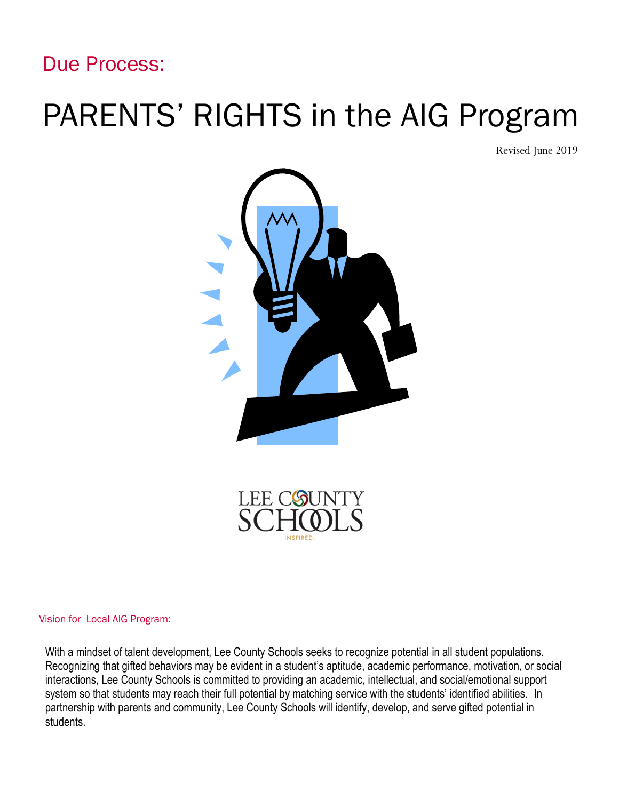# PARENTS' RIGHTS in the AIG Program

Revised June 2019



LEE COUN

Vision for Local AIG Program:

With a mindset of talent development, Lee County Schools seeks to recognize potential in all student populations. Recognizing that gifted behaviors may be evident in a student's aptitude, academic performance, motivation, or social interactions, Lee County Schools is committed to providing an academic, intellectual, and social/emotional support system so that students may reach their full potential by matching service with the students' identified abilities. In partnership with parents and community, Lee County Schools will identify, develop, and serve gifted potential in students.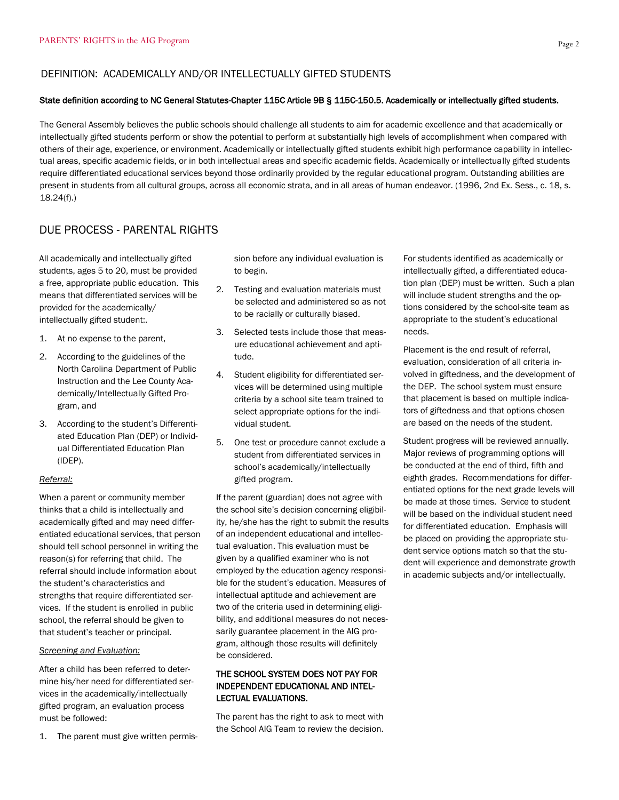#### DEFINITION: ACADEMICALLY AND/OR INTELLECTUALLY GIFTED STUDENTS

#### State definition according to NC General Statutes-Chapter 115C Article 9B § 115C-150.5. Academically or intellectually gifted students.

The General Assembly believes the public schools should challenge all students to aim for academic excellence and that academically or intellectually gifted students perform or show the potential to perform at substantially high levels of accomplishment when compared with others of their age, experience, or environment. Academically or intellectually gifted students exhibit high performance capability in intellectual areas, specific academic fields, or in both intellectual areas and specific academic fields. Academically or intellectually gifted students require differentiated educational services beyond those ordinarily provided by the regular educational program. Outstanding abilities are present in students from all cultural groups, across all economic strata, and in all areas of human endeavor. (1996, 2nd Ex. Sess., c. 18, s. 18.24(f).)

### DUE PROCESS - PARENTAL RIGHTS

All academically and intellectually gifted students, ages 5 to 20, must be provided a free, appropriate public education. This means that differentiated services will be provided for the academically/ intellectually gifted student:.

- 1. At no expense to the parent,
- 2. According to the guidelines of the North Carolina Department of Public Instruction and the Lee County Academically/Intellectually Gifted Program, and
- 3. According to the student's Differentiated Education Plan (DEP) or Individual Differentiated Education Plan (IDEP).

#### *Referral:*

When a parent or community member thinks that a child is intellectually and academically gifted and may need differentiated educational services, that person should tell school personnel in writing the reason(s) for referring that child. The referral should include information about the student's characteristics and strengths that require differentiated services. If the student is enrolled in public school, the referral should be given to that student's teacher or principal.

#### *Screening and Evaluation:*

After a child has been referred to determine his/her need for differentiated services in the academically/intellectually gifted program, an evaluation process must be followed:

1. The parent must give written permis-

sion before any individual evaluation is to begin.

- 2. Testing and evaluation materials must be selected and administered so as not to be racially or culturally biased.
- 3. Selected tests include those that measure educational achievement and aptitude.
- 4. Student eligibility for differentiated services will be determined using multiple criteria by a school site team trained to select appropriate options for the individual student.
- 5. One test or procedure cannot exclude a student from differentiated services in school's academically/intellectually gifted program.

If the parent (guardian) does not agree with the school site's decision concerning eligibility, he/she has the right to submit the results of an independent educational and intellectual evaluation. This evaluation must be given by a qualified examiner who is not employed by the education agency responsible for the student's education. Measures of intellectual aptitude and achievement are two of the criteria used in determining eligibility, and additional measures do not necessarily guarantee placement in the AIG program, although those results will definitely be considered.

#### THE SCHOOL SYSTEM DOES NOT PAY FOR INDEPENDENT EDUCATIONAL AND INTEL-LECTUAL EVALUATIONS.

The parent has the right to ask to meet with the School AIG Team to review the decision.

For students identified as academically or intellectually gifted, a differentiated education plan (DEP) must be written. Such a plan will include student strengths and the options considered by the school-site team as appropriate to the student's educational needs.

Placement is the end result of referral, evaluation, consideration of all criteria involved in giftedness, and the development of the DEP. The school system must ensure that placement is based on multiple indicators of giftedness and that options chosen are based on the needs of the student.

Student progress will be reviewed annually. Major reviews of programming options will be conducted at the end of third, fifth and eighth grades. Recommendations for differentiated options for the next grade levels will be made at those times. Service to student will be based on the individual student need for differentiated education. Emphasis will be placed on providing the appropriate student service options match so that the student will experience and demonstrate growth in academic subjects and/or intellectually.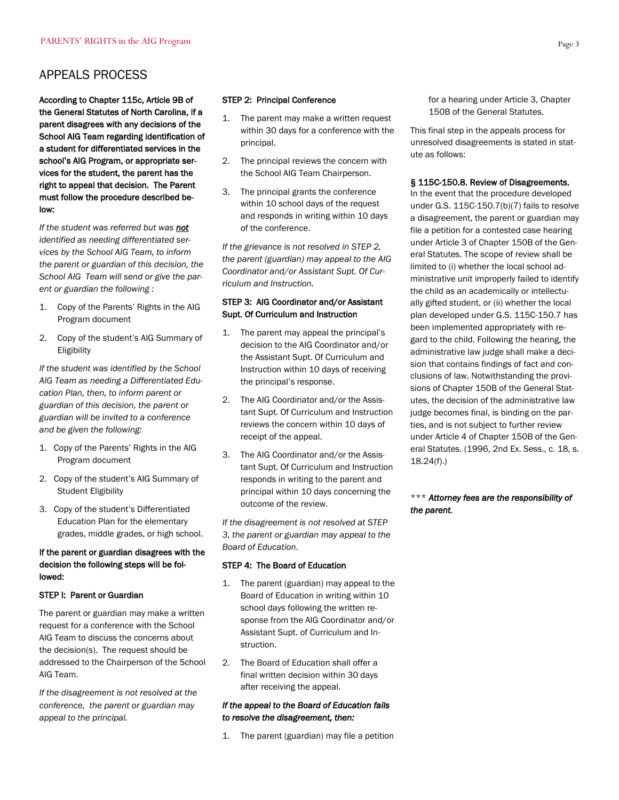# APPEALS PROCESS

According to Chapter 115c, Article 9B of the General Statutes of North Carolina, if a parent disagrees with any decisions of the School AIG Team regarding identification of a student for differentiated services in the school's AIG Program, or appropriate services for the student, the parent has the right to appeal that decision. The Parent must follow the procedure described below:

*If the student was referred but was not identified as needing differentiated services by the School AIG Team, to inform the parent or guardian of this decision, the School AIG Team will send or give the parent or guardian the following :*

- 1. Copy of the Parents' Rights in the AIG Program document
- 2. Copy of the student's AIG Summary of Eligibility

*If the student was identified by the School AIG Team as needing a Differentiated Education Plan, then, to inform parent or guardian of this decision, the parent or guardian will be invited to a conference and be given the following:*

- 1. Copy of the Parents' Rights in the AIG Program document
- 2. Copy of the student's AIG Summary of Student Eligibility
- 3. Copy of the student's Differentiated Education Plan for the elementary grades, middle grades, or high school.

#### If the parent or guardian disagrees with the decision the following steps will be followed:

#### STEP I: Parent or Guardian

The parent or guardian may make a written request for a conference with the School AIG Team to discuss the concerns about the decision(s). The request should be addressed to the Chairperson of the School AIG Team.

*If the disagreement is not resolved at the conference, the parent or guardian may appeal to the principal.*

#### STEP 2: Principal Conference

- 1. The parent may make a written request within 30 days for a conference with the principal.
- 2. The principal reviews the concern with the School AIG Team Chairperson.
- 3. The principal grants the conference within 10 school days of the request and responds in writing within 10 days of the conference.

*If the grievance is not resolved in STEP 2, the parent (guardian) may appeal to the AIG Coordinator and/or Assistant Supt. Of Curriculum and Instruction.*

#### STEP 3: AIG Coordinator and/or Assistant Supt. Of Curriculum and Instruction

- 1. The parent may appeal the principal's decision to the AIG Coordinator and/or the Assistant Supt. Of Curriculum and Instruction within 10 days of receiving the principal's response.
- 2. The AIG Coordinator and/or the Assistant Supt. Of Curriculum and Instruction reviews the concern within 10 days of receipt of the appeal.
- 3. The AIG Coordinator and/or the Assistant Supt. Of Curriculum and Instruction responds in writing to the parent and principal within 10 days concerning the outcome of the review.

*If the disagreement is not resolved at STEP 3, the parent or guardian may appeal to the Board of Education.*

#### STEP 4: The Board of Education

- 1. The parent (guardian) may appeal to the Board of Education in writing within 10 school days following the written response from the AIG Coordinator and/or Assistant Supt. of Curriculum and Instruction.
- 2. The Board of Education shall offer a final written decision within 30 days after receiving the appeal.

#### *If the appeal to the Board of Education fails to resolve the disagreement, then:*

1. The parent (guardian) may file a petition

for a hearing under Article 3, Chapter 150B of the General Statutes.

This final step in the appeals process for unresolved disagreements is stated in statute as follows:

#### § 115C-150.8. Review of Disagreements.

In the event that the procedure developed under G.S. 115C-150.7(b)(7) fails to resolve a disagreement, the parent or guardian may file a petition for a contested case hearing under Article 3 of Chapter 150B of the General Statutes. The scope of review shall be limited to (i) whether the local school administrative unit improperly failed to identify the child as an academically or intellectually gifted student, or (ii) whether the local plan developed under G.S. 115C-150.7 has been implemented appropriately with regard to the child. Following the hearing, the administrative law judge shall make a decision that contains findings of fact and conclusions of law. Notwithstanding the provisions of Chapter 150B of the General Statutes, the decision of the administrative law judge becomes final, is binding on the parties, and is not subject to further review under Article 4 of Chapter 150B of the General Statutes. (1996, 2nd Ex. Sess., c. 18, s. 18.24(f).)

#### \*\*\* *Attorney fees are the responsibility of the parent.*